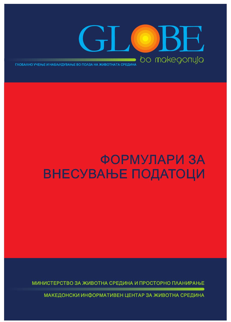

#### **ФОРМУЛАРИ ЗА ВНЕСУВАЊЕ ПОДАТОЦИ**

МИНИСТЕРСТВО ЗА ЖИВОТНА СРЕДИНА И ПРОСТОРНО ПЛАНИРАЊЕ

МАКЕДОНСКИ ИНФОРМАТИВЕН ЦЕНТАР ЗА ЖИВОТНА СРЕДИНА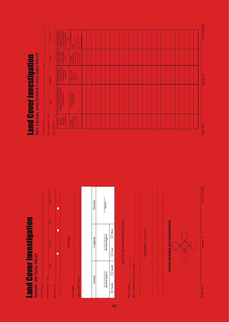**Land Cover Investigation** Land Cover Investigation

Sample Site Data Sheet

School Name:

| Measurement Time:   | Year | Month           | Day | Hour (UT) |
|---------------------|------|-----------------|-----|-----------|
| Recorded By:        |      |                 |     |           |
|                     |      | ċ               | ♦   | ₫         |
|                     |      |                 |     |           |
| Site Name:          |      | <b>LOCATION</b> |     |           |
| City/State/Country: |      |                 |     |           |

|  | Elevation | meters          |                           |
|--|-----------|-----------------|---------------------------|
|  | Longitude | decimal degrees | <b>Nest</b>               |
|  |           |                 | $\Box$ East               |
|  |           | decimal degrees | $\Box$ North $\Box$ South |
|  | Latitude  |                 |                           |

MUC TO THE MOST DETAILED LEVEL MUC TO THE MOST DETAILED LEVEL

**MUC Land Cover Type Name:**  $\frac{1}{\sqrt{2}}$ **MUC Class:** \_\_\_\_ \_\_\_\_ \_\_\_\_ \_\_\_\_ MUC Land Cover Type Name: MUC Class:  $\_\_\_\_\_\_\_\_\_\_\_\_\_\_\_\_\_\_$ 

**METADATA** (Comments) METADATA (Comments)

PHOTO NUMBER AND ORIENTATION PHOTO NUMBER AND ORIENTATION **E N S W**

GLOBE<sup>®</sup> 2005

Appendix - 39

| determine<br>Tree Canopy<br>$+$ = Tree Caropy<br>$-$ = Sky or Shrub<br>1. Canopy<br>Observations<br>column to<br>Use this<br>Recorded By: | Use this column to determine<br>Dominant and Co-Dominant<br>Canopy Species<br>2. Canopy Species or<br>Common Name<br>Year | 3. Canopy Type<br>$E = E \text{vergreen}$<br>$D = D \text{eciduous}$<br>$- = 5S_1y$<br>Month | Use this column<br>to determine<br>Overall Ground<br>$G = Green Cover$<br>$B = Brown Cover$<br>$= No Cover$<br>$4.$ Ground<br>Observations<br>Cover<br>Day<br>Use this column<br>to derive MUC for<br>closed forest or<br>woodland<br>Measurement Time: |
|-------------------------------------------------------------------------------------------------------------------------------------------|---------------------------------------------------------------------------------------------------------------------------|----------------------------------------------------------------------------------------------|---------------------------------------------------------------------------------------------------------------------------------------------------------------------------------------------------------------------------------------------------------|
|                                                                                                                                           |                                                                                                                           |                                                                                              |                                                                                                                                                                                                                                                         |

**Land Cover Investigation**<br>Tree Canopy and Ground Cover Data Sheet\* Tree Canopy and Ground Cover Data Sheet\* Land Cover Investigation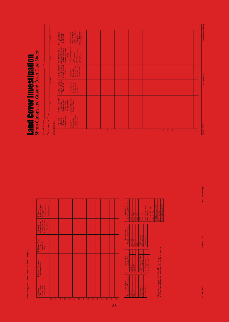Tree Canopy and Ground Cover Data Sheet - Page 2 *Tree Canopy and Ground Cover Data Sheet – Page 2*

| $\begin{tabular}{ l l } \hline \textbf{VegetatonType}\\ \hline \textbf{GD} = \textbf{Gammoid}\\ \hline \textbf{H} & \textbf{F} \textbf{orb}\\ \hline \textbf{H} & \textbf{F} \textbf{orb}\\ \hline \textbf{S} & \textbf{Sumb}\\ \hline \textbf{M} & \textbf{Sumb}\\ \hline \textbf{M} & \textbf{Sumb}\\ \hline \end{tabular}$<br>5. Ground<br>$B = Brown Cover$<br>G = Green Cover<br>Observations<br>$-$ = No Cover<br>4. Ground<br>3. Canopy Type<br>$E =$ Evergreen<br>$D =$ Deciduous<br>$-$ = Sky<br>2. Canopy Species or<br><b>Common Name</b><br>- Sky or Shrub<br>$+$ = Tree Canopy<br>Observations<br>1. Canopy | Š. | b. | $\frac{8}{2}$ | δŚ, | $\frac{1}{2}$ | $\overline{z}$ | $\tilde{z}$ | $\overline{3}$ | $\frac{4}{5}$ | $\overline{5}$ | $\frac{1}{2}$ | 层 | $\frac{8}{2}$ | $\overline{3}$ | $\overline{Q}$ |
|--------------------------------------------------------------------------------------------------------------------------------------------------------------------------------------------------------------------------------------------------------------------------------------------------------------------------------------------------------------------------------------------------------------------------------------------------------------------------------------------------------------------------------------------------------------------------------------------------------------------------|----|----|---------------|-----|---------------|----------------|-------------|----------------|---------------|----------------|---------------|---|---------------|----------------|----------------|
|                                                                                                                                                                                                                                                                                                                                                                                                                                                                                                                                                                                                                          |    |    |               |     |               |                |             |                |               |                |               |   |               |                |                |
|                                                                                                                                                                                                                                                                                                                                                                                                                                                                                                                                                                                                                          |    |    |               |     |               |                |             |                |               |                |               |   |               |                |                |
|                                                                                                                                                                                                                                                                                                                                                                                                                                                                                                                                                                                                                          |    |    |               |     |               |                |             |                |               |                |               |   |               |                |                |
|                                                                                                                                                                                                                                                                                                                                                                                                                                                                                                                                                                                                                          |    |    |               |     |               |                |             |                |               |                |               |   |               |                |                |
|                                                                                                                                                                                                                                                                                                                                                                                                                                                                                                                                                                                                                          |    |    |               |     |               |                |             |                |               |                |               |   |               |                |                |

| Tree Canopy Observations<br>Summary of | Canopy Type<br>summary of | <b>Ground Observations</b><br>Summary of | Ground Vegetation Type<br>Summary of |  |
|----------------------------------------|---------------------------|------------------------------------------|--------------------------------------|--|
| $Total - 1$                            | Total "E"                 | <b>Total</b> "G"                         | lotal <sup>*</sup> GD <sup>*</sup>   |  |
| $\frac{1}{2}$ Total $\frac{1}{2}$      | Total "D"                 | <b>Total "B"</b>                         | Total "FB"                           |  |
|                                        |                           | $\lceil \text{total} \rceil$ $\sim$      | Total "OG"                           |  |
| Total Canopy                           | Total Canopy Type         | otal Ground                              | Total "SB"                           |  |
| Observations                           | Observations              | Observations                             | Total "DS"                           |  |
| % Tree Canopy                          | % Evergreen (E)           | % Ground                                 | <b>Total Ground Type</b>             |  |
|                                        | % Deciduous (D)           |                                          | Observations                         |  |
|                                        |                           |                                          | % Grammoid (GD)                      |  |
|                                        |                           |                                          | % Forb (FB)                          |  |

"Note: Always measure the highest level of canopy. In a forest or wood<br>land, canopy cover refers to the tree canopy.  $\;$ **In a forest or woodland, canopy cover refers to the tree canopy. \*Note: Always measure the highest level of canopy.** 

| lotal "GD" | lotal "FB" | lotal "OG" | lotal "SB" | lotal "DS" | Total Ground Type | Observations | % Graminoid (GD) | % Forb (FB) | % Other Green (OG) | % Shrub (SB) | % Dwarf Shrub (DS) |  |
|------------|------------|------------|------------|------------|-------------------|--------------|------------------|-------------|--------------------|--------------|--------------------|--|
|            |            |            |            |            |                   |              |                  |             |                    |              |                    |  |
|            |            |            |            |            |                   |              |                  |             |                    |              |                    |  |

Land Cover/Blobgy

GLOBE® 2005 Appendix - 42 Land Cover/Biology

GLOBE® 2005 Appendix - 41 Land Cover/Biology - 41 Land Cover/Biology - 41 Land Cover/Biology - 41 Land Cover/<br>Global Cover/Biology - 41 Land Cover/Biology - 41 Land Cover/Biology - 41 Land Cover/Biology - 41 Land Cover/B

Appendix - 41

 $GLOBE^* 2005$ 

## **Land Cover Investigation**<br>Shrub Canopy and Ground Cover Data Sheet<sup>\*</sup> Shrub Canopy and Ground Cover Data Sheet\* Land Cover Investigation

School Name: The Site: Site: Site: Site: Site: Site: Site: Site: Site: Site: Site: Site: Site: Site: Site: Site: Site: Site: Site: Site: Site: Site: Site: Site: Site: Site: Site: Site: Site: Site: Site: Site: Site: Site: S

| Recorded By:                                                        |                                                                                                |                                                                            |                                                                                                                    |                                                                                                                                                                                                                                            |                                                                                                                                                                         |
|---------------------------------------------------------------------|------------------------------------------------------------------------------------------------|----------------------------------------------------------------------------|--------------------------------------------------------------------------------------------------------------------|--------------------------------------------------------------------------------------------------------------------------------------------------------------------------------------------------------------------------------------------|-------------------------------------------------------------------------------------------------------------------------------------------------------------------------|
| determine<br>Shrub Canopy<br>column to<br>Use this                  | Use this column to<br><b>Canopy Species</b><br>Dominant and<br><b>Co-Dominant</b><br>determine | Use this column<br>to derive MUC for<br>Shrubland                          | Use this column<br>Overall Ground<br>to determine<br>Cover                                                         | determine Dominant<br>Use this column to<br><b>Ground Vegetation</b><br>and Co-Dominant<br>Type                                                                                                                                            | Use this column<br>to determine<br>Total Shrubs                                                                                                                         |
| 1.Canopy<br>Observations<br>$+ =$ Shrub Canopy<br>$- =$ Sky or Tree | 2. Canopy Species or<br>Common Name                                                            | 3. Canopy Type<br>$E = Evc$ type<br>$D = Decduous$<br>$- = S \, \text{by}$ | $\begin{tabular}{l} 4. ground \\ Observations \\ G = Green Cover \\ B = Brown Cover \end{tabular}$<br>$=$ No Cover | 5. Ground Vegetation<br>Type $\begin{array}{l} \text{Gymmod} \\ \text{The rammod} \\ \text{The formal} \\ \text{CO} = \text{O} \text{the Germ} \\ \text{CO} = \text{O} \text{the Germ} \\ \text{S= Stump} \\ \text{NS= Stump} \end{array}$ | 6. Pat $a^2 + b$ this<br>column if there is<br>column if there is<br>column $a^2 + b$<br>column $a^2 + b$<br>Put $a^2 - b$ if there were<br>Put $a^2 - b$ if there were |
|                                                                     |                                                                                                |                                                                            |                                                                                                                    |                                                                                                                                                                                                                                            |                                                                                                                                                                         |
|                                                                     |                                                                                                |                                                                            |                                                                                                                    |                                                                                                                                                                                                                                            |                                                                                                                                                                         |
|                                                                     |                                                                                                |                                                                            |                                                                                                                    |                                                                                                                                                                                                                                            |                                                                                                                                                                         |
|                                                                     |                                                                                                |                                                                            |                                                                                                                    |                                                                                                                                                                                                                                            |                                                                                                                                                                         |
|                                                                     |                                                                                                |                                                                            |                                                                                                                    |                                                                                                                                                                                                                                            |                                                                                                                                                                         |
|                                                                     |                                                                                                |                                                                            |                                                                                                                    |                                                                                                                                                                                                                                            |                                                                                                                                                                         |
|                                                                     |                                                                                                |                                                                            |                                                                                                                    |                                                                                                                                                                                                                                            |                                                                                                                                                                         |
|                                                                     |                                                                                                |                                                                            |                                                                                                                    |                                                                                                                                                                                                                                            |                                                                                                                                                                         |
| ٠                                                                   |                                                                                                |                                                                            |                                                                                                                    |                                                                                                                                                                                                                                            |                                                                                                                                                                         |
|                                                                     |                                                                                                |                                                                            |                                                                                                                    |                                                                                                                                                                                                                                            |                                                                                                                                                                         |
|                                                                     |                                                                                                |                                                                            |                                                                                                                    |                                                                                                                                                                                                                                            |                                                                                                                                                                         |
|                                                                     |                                                                                                |                                                                            |                                                                                                                    |                                                                                                                                                                                                                                            |                                                                                                                                                                         |
|                                                                     |                                                                                                |                                                                            |                                                                                                                    |                                                                                                                                                                                                                                            |                                                                                                                                                                         |
|                                                                     |                                                                                                |                                                                            |                                                                                                                    |                                                                                                                                                                                                                                            |                                                                                                                                                                         |
|                                                                     |                                                                                                |                                                                            |                                                                                                                    |                                                                                                                                                                                                                                            |                                                                                                                                                                         |
|                                                                     |                                                                                                |                                                                            |                                                                                                                    |                                                                                                                                                                                                                                            |                                                                                                                                                                         |
|                                                                     |                                                                                                |                                                                            |                                                                                                                    |                                                                                                                                                                                                                                            |                                                                                                                                                                         |
|                                                                     |                                                                                                |                                                                            |                                                                                                                    |                                                                                                                                                                                                                                            |                                                                                                                                                                         |
|                                                                     |                                                                                                |                                                                            |                                                                                                                    |                                                                                                                                                                                                                                            |                                                                                                                                                                         |
|                                                                     |                                                                                                |                                                                            |                                                                                                                    |                                                                                                                                                                                                                                            |                                                                                                                                                                         |
|                                                                     |                                                                                                |                                                                            |                                                                                                                    |                                                                                                                                                                                                                                            |                                                                                                                                                                         |
|                                                                     |                                                                                                |                                                                            |                                                                                                                    |                                                                                                                                                                                                                                            |                                                                                                                                                                         |
|                                                                     |                                                                                                |                                                                            |                                                                                                                    |                                                                                                                                                                                                                                            |                                                                                                                                                                         |
|                                                                     |                                                                                                |                                                                            |                                                                                                                    |                                                                                                                                                                                                                                            |                                                                                                                                                                         |
|                                                                     |                                                                                                |                                                                            |                                                                                                                    |                                                                                                                                                                                                                                            |                                                                                                                                                                         |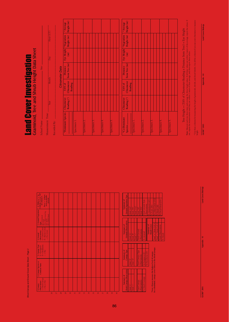Shrub Canopy and Ground Cover Data Sheet - Page 2 *Shrub Canopy and Ground Cover Data Sheet – Page 2*

|                          | $+$ = Shrub Canop<br>- Sky or Tree<br>Observations<br>1.Canopy | 2. Canopy Species or<br><b>Common Name</b> | 3. Canopy Type<br>$E = \text{Evergreen}$<br>$D = \text{Dociduous}$<br>$-$ = Sky | <b>B</b> = Brown Cover<br>$G = Green Cover$<br>$-$ No Cover<br>Observations<br>4. Ground | 5. Ground Vegetation<br>FB = Forb<br>OG = Oher Green Weg<br>SB = Dwarf-Shrub<br>DS = Dwarf-Shrub<br>$\frac{1}{2} \frac{1}{2} \sum_{n=1}^{\infty} \frac{1}{2} \sum_{n=1}^{\infty} \frac{1}{n!} \left( \frac{1}{2} \sum_{n=1}^{\infty} \frac{1}{n!} \right)$ | 6. Either $a^a +^b$ in<br>Column 1 or an "SB"<br>Puta <sup>929</sup> if there<br>were no shrubs<br>in Column 5.<br>present |
|--------------------------|----------------------------------------------------------------|--------------------------------------------|---------------------------------------------------------------------------------|------------------------------------------------------------------------------------------|------------------------------------------------------------------------------------------------------------------------------------------------------------------------------------------------------------------------------------------------------------|----------------------------------------------------------------------------------------------------------------------------|
| 26                       |                                                                |                                            |                                                                                 |                                                                                          |                                                                                                                                                                                                                                                            |                                                                                                                            |
| $\overline{27}$          |                                                                |                                            |                                                                                 |                                                                                          |                                                                                                                                                                                                                                                            |                                                                                                                            |
| 28                       |                                                                |                                            |                                                                                 |                                                                                          |                                                                                                                                                                                                                                                            |                                                                                                                            |
| $\overline{29}$          |                                                                |                                            |                                                                                 |                                                                                          |                                                                                                                                                                                                                                                            |                                                                                                                            |
| $\overline{30}$          |                                                                |                                            |                                                                                 |                                                                                          |                                                                                                                                                                                                                                                            |                                                                                                                            |
| $\overline{a}$           |                                                                |                                            |                                                                                 |                                                                                          |                                                                                                                                                                                                                                                            |                                                                                                                            |
| $\overline{\mathbf{32}}$ |                                                                |                                            |                                                                                 |                                                                                          |                                                                                                                                                                                                                                                            |                                                                                                                            |
| $\overline{33}$          |                                                                |                                            |                                                                                 |                                                                                          |                                                                                                                                                                                                                                                            |                                                                                                                            |
| $\frac{4}{5}$            |                                                                |                                            |                                                                                 |                                                                                          |                                                                                                                                                                                                                                                            |                                                                                                                            |
| S.                       |                                                                |                                            |                                                                                 |                                                                                          |                                                                                                                                                                                                                                                            |                                                                                                                            |
| $\frac{8}{2}$            |                                                                |                                            |                                                                                 |                                                                                          |                                                                                                                                                                                                                                                            |                                                                                                                            |
| $\overline{37}$          |                                                                |                                            |                                                                                 |                                                                                          |                                                                                                                                                                                                                                                            |                                                                                                                            |
| $\frac{8}{20}$           |                                                                |                                            |                                                                                 |                                                                                          |                                                                                                                                                                                                                                                            |                                                                                                                            |
| $\overline{39}$          |                                                                |                                            |                                                                                 |                                                                                          |                                                                                                                                                                                                                                                            |                                                                                                                            |
| $\frac{40}{5}$           |                                                                |                                            |                                                                                 |                                                                                          |                                                                                                                                                                                                                                                            |                                                                                                                            |
|                          |                                                                |                                            |                                                                                 |                                                                                          |                                                                                                                                                                                                                                                            |                                                                                                                            |
|                          | Shrub Canopy Observations<br>Summary of                        |                                            | Canopy Type<br>Summary of                                                       | <b>Ground Observations</b><br>Summary of                                                 |                                                                                                                                                                                                                                                            | Ground Vegetation Type<br>Summary of                                                                                       |
|                          |                                                                |                                            |                                                                                 |                                                                                          |                                                                                                                                                                                                                                                            |                                                                                                                            |

| <b>Ground Vegetation Type</b><br><b>Summary of</b> | Total "GD"                    | Total "FB"       | lotal <sup>*</sup> OG"                            | lotal "SB"          | otal "DS"           | Total Ground Ivpe | Observatoris    | % Grammoid (GD) | % Forb (FB)                                        | % Other Green (OG)                                       | %Shrub (SB)           | <b>Of Parrow Character (PIC)</b> |
|----------------------------------------------------|-------------------------------|------------------|---------------------------------------------------|---------------------|---------------------|-------------------|-----------------|-----------------|----------------------------------------------------|----------------------------------------------------------|-----------------------|----------------------------------|
| <b>Ground Observations</b><br>Summary of           | lotal "G"                     | otal "B"         | $\frac{1}{2}$ and $\frac{1}{2}$ and $\frac{1}{2}$ | <b>Total Ground</b> | Observations        | % Ground          |                 | jummary of      | <b>Shrub Cover</b>                                 | Total "+" from Col. $6$                                  | Total "-" from Col. 6 | Total Chservations               |
| Canopy Type<br>Summary of                          | <b>Total</b> "E"              | <b>Total</b> "D" |                                                   | Total Canopy type   | Observations,       | % Evergreen (E)   | % Deciduous (D) |                 |                                                    |                                                          |                       |                                  |
| <b>Shrub Canopy Observations</b><br>Summary of     | $\frac{1}{2}$ = $\frac{1}{2}$ | $Tonal "=$       |                                                   | Total Carropy       | <b>Observations</b> | % Shrub Canopy    |                 |                 | "Note: Always measure the highest level of canopy. | In a shrubland, canopy cover refers to the shrub canopy. |                       |                                  |

 $rac{6}{5}$ 

| Summary of | Ground Vegetation Type     | Total "GD"   | Total "FB" | Total "OG"         | Total "SB"          | Total "DS"   | Total Ground lype | Observations | % Grammoid (GD) | % Forb (FB)        | % Other Green (OG)    | %Shrub(SB)                     | %Dwart Shrub (DS)         |         |  |
|------------|----------------------------|--------------|------------|--------------------|---------------------|--------------|-------------------|--------------|-----------------|--------------------|-----------------------|--------------------------------|---------------------------|---------|--|
| Summary of | <b>Ground Observations</b> | <b>Total</b> | lotal "B"  | Total <sup>-</sup> | <b>Total Ground</b> | Observations | % Ground          |              | Summary of      | <b>Shrub Cover</b> | Total "+" from Col. 6 | $\text{Total}$ "-" from Col. 6 | <b>Total Chservations</b> | % Shrub |  |

| Reading |                       |  |           |  |                   |  |                       |  |
|---------|-----------------------|--|-----------|--|-------------------|--|-----------------------|--|
|         |                       |  |           |  |                   |  |                       |  |
|         | Specimen <sub>1</sub> |  | $open$ ne |  | <b>Specimen 3</b> |  | Specimen <sub>4</sub> |  |
|         |                       |  |           |  |                   |  |                       |  |

Specimen 5.

Species **Callage (\***) Clinometer [from Tree (m) [Height (m) |Height (m) **|** 

Reading

 $\widehat{\mathbf{E}}$ 

**Note:** Measure each tree three times and average the three height values. If all three values are within 1 meter of the average, report the values. If values are within 1 meter of the average, report the values. If Note: Measure each tree three times and average the three height values. If all three values are within 1 m not, repeat the measurements until they are within 1 meter of their average, and then report these values. not, repeat the measurements until they are within 1 meter of their average, and then report these values. \* Use these columns for<br>height.

Tree Height = (TAN of Clinometer Reading x Distance from Tree) + Eye Height

Tree Height = (TAN of Clinometer Reading x Distance from Tree) + Eye Height

\* Use these columns for measuring the height of graminoids, shrubs, and dwarf-shrubs. Use all the columns if you use your clinometer to measure

GLOBE® 2005 Appendix - 44 Land Cover/Biology Appendix - 44  $\overline{\text{GDBE}^* 2005}$ 

Land Cover/Biology

Land Cover/Biology GLOBE® 2005 Appendix - 43 Appendix - 43 Land Cover/Biology - 43 Land Cover/Biology - 40 Land Cover/Biology - 4

Appendix - 43

GLOBE<sup>®</sup> 2005

## **Land Cover Investigation**<br>Graminoid, Tree and Shrub Height Data Sheet Graminoid, Tree and Shrub Height Data Sheet Land Cover Investigation

School Name: Site:  $-$ Site: School Name: -

 $\Delta$  de assurement Time:  $\Delta$  $Re\overline{c}$  and  $Br_1$  and  $Br_2$  and  $I_1$  and  $I_2$  and  $I_3$  and  $I_4$  and  $I_5$  and  $I_6$  and  $I_7$  and  $I_8$  and  $I_9$  and  $I_9$  and  $I_9$  and  $I_9$  and  $I_9$  and  $I_9$  and  $I_9$  and  $I_9$  and  $I_9$  and  $I_9$  and  $I_9$  a Hour (UT) Year Month Day Hour (UT)  $\overline{Day}$ Month Measurement Time: <u>wear</u> Recorded By:

Ĕ

|                                |             |                | Clinometer Data |                           |          |
|--------------------------------|-------------|----------------|-----------------|---------------------------|----------|
| *Dominant Species   Clinometer |             | <b>TAN of</b>  | Distance        | Eye Height  *Vegetation   | *Average |
|                                | Reading (°) | Clinometer     | from Tree (m)   | (m) Height (m) Height (m) |          |
|                                |             | <b>Reading</b> |                 |                           |          |
| Specimen <sub>1</sub>          |             |                |                 |                           |          |
|                                |             |                |                 |                           |          |
|                                |             |                |                 |                           |          |
| Specimen 2                     |             |                |                 |                           |          |
|                                |             |                |                 |                           |          |
|                                |             |                |                 |                           |          |
| Specimen <sub>3</sub>          |             |                |                 |                           |          |
|                                |             |                |                 |                           |          |
|                                |             |                |                 |                           |          |
| Specimen 4                     |             |                |                 |                           |          |
|                                |             |                |                 |                           |          |
|                                |             |                |                 |                           |          |
| Specimen <sub>5</sub>          |             |                |                 |                           |          |
|                                |             |                |                 |                           |          |
|                                |             |                |                 |                           |          |
|                                |             |                |                 |                           |          |
| *Co-Dominant                   | Clinometer  | <b>TAN of</b>  | Distance        | Eye Height   * Vegetation | *Average |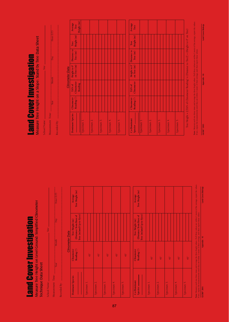# **Land Cover Investigation** Land Cover Investigation

Land Cover Investigation

Land Cover Investigation

Measure Tree Height on a Slope: Stand by Tree Data Sheet

Measure Tree Height on a Slope: Stand by Tree Data Sheet

School Name: The Site: The Site: School Name: The Site: Site: Site: Site: Site: Site: Site: Site: Site: Site: Site: Site: Site: Site: Site: Site: Site: Site: Site: Site: Site: Site: Site: Site: Site: Site: Site: Site: Site

School Name:

 $M$ easurement Time:  $\Box$ Year Month Day Day Hour (UT)

Month

Year

Measurement Time:

Recorded By:

Hour (UT)

 $\overline{Day}$ 

Recorded By:  $\frac{1}{2}$ 

*Clinometer Data* **Dominant Species Clinometer TAN of Height to 0˚ Distance to Tree Average Reading (\*)** Clinometer on Tree (m) Tree (m) Height (m) Tree  **Reading Height (m)**

**Clinometer Data** 

Average

Distance to Tree<br>Tree (m) Height (m)

 $\begin{array}{|l|} \hline \text{Height to 0}^{\ast} & \text{I} \\ \hline \text{on Tree (m)} & \\ \hline \end{array}$ 

Clinometer TAN of

Clinometer Reading (\*)

Dominant Species

I

Reading

 $\operatorname{\sf Tree}$ 

Height

 Specimen 1. Specimen 2. Specimen 3. Specimen 4. Specimen 5.

pecimen

pecimen 2. pecimen 3. Specimen 4. **Co-Dominant Clinometer TAN of Height to 0˚ Distance to Tree Average Species Reading (˚) Clinometer on Tree (m) Tree (m) Height (m) Tree** 

TAN of

Clinometer<br>Reading (\*)

Co-Dominant

pecimen 5.

Height to 0' on Tree  $(m)$ 

Distance to  $\operatorname{Tree}\left( \mathbf{m} \right)$ 

 $\frac{\text{Average}}{\text{Tree}}$ 

Tree<br>Height (m)

 Specimen 1. Specimen 2. Specimen 3. Specimen 4. Specimen 5.

 $\frac{1}{\text{pi} \cdot \text{tan} \cdot \text{tan} \cdot \text{tan} \cdot \text{tan} \cdot \text{tan} \cdot \text{tan} \cdot \text{tan} \cdot \text{tan} \cdot \text{tan} \cdot \text{tan} \cdot \text{tan} \cdot \text{tan} \cdot \text{tan} \cdot \text{tan} \cdot \text{tan} \cdot \text{tan} \cdot \text{tan} \cdot \text{tan} \cdot \text{tan} \cdot \text{tan} \cdot \text{tan} \cdot \text{tan} \cdot \text{tan} \cdot \text{tan} \cdot \text{tan} \cdot \text{tan} \cdot \text{tan} \cdot \text{tan} \cdot \text{tan} \cdot \text{tan}$ Species<sub>-</sub>

specimen 2. Specimen 3. Specimen 4. Specimen 5.

Measure Tree Height on Level Ground: Simplified Clinometer Measure Tree Height on Level Ground: Simplified Clinometer

#### Technique Data Sheet Technique Data Sheet

| Ě<br>remen<br>eramere?<br>í<br>ć | Year | Site:<br>lonth | <b>Day</b> | lour (UT |
|----------------------------------|------|----------------|------------|----------|
|----------------------------------|------|----------------|------------|----------|

| <b>Clinometer Data</b> | Tree Height (m)<br>Average                                              |  |             |               |                         |              |             |             |                       |            |            |              |  |
|------------------------|-------------------------------------------------------------------------|--|-------------|---------------|-------------------------|--------------|-------------|-------------|-----------------------|------------|------------|--------------|--|
|                        | Tree (m)<br>and Up to Eyes)<br>Distance from Base of<br>Tree Height (m) |  |             |               |                         |              |             |             |                       |            |            |              |  |
|                        | Reading (')<br>Clinometer                                               |  |             | $\frac{1}{4}$ |                         | $45^{\circ}$ |             | $\ddot{45}$ |                       | $\ddot{4}$ |            | $45^{\circ}$ |  |
|                        | Dominant Species                                                        |  | Specimen 1. |               | Specimen <sub>2</sub> . |              | Specimen 3. |             | Specimen <sub>4</sub> |            | Specimen 5 |              |  |

| Tree Height (m)<br>Average                                          |              |                         |                       |                       |                       |
|---------------------------------------------------------------------|--------------|-------------------------|-----------------------|-----------------------|-----------------------|
| Tree (m)and Up to Eyes)<br>Distance from Base of<br>Tree Height (m) |              |                         |                       |                       |                       |
| Reading (')<br>Clinometer                                           | $45^{\circ}$ | $45^{\circ}$            | $45^{\circ}$          | $\frac{1}{4}$         | $45^{\circ}$          |
| <b>Co-Dominant</b><br>Species -                                     | Specimen 1.  | Specimen <sub>2</sub> . | Specimen <sub>3</sub> | Specimen <sub>4</sub> | Specimen <sub>5</sub> |

**Note:** Measure each tree three times and average the three height values. If all three values are within 1 meter of the average, report the values. If not, repeat the measurements until they are within 1 meter of their average, and then report these values.

Land Cover/Blology Appendix - 45

## GLOBE® 2005 Appendix - 46 Land Cover/Biology Appendix - 46 GLOBE® 2005

**Note:** Measure each tree three times and average the three height values. If all three values are within 1 meter of the average, report the values. Land Cover/Biology port the valu If not, repeat the measurements until they are within 1 meter of their average, and then report these values, If not, repeat the measurements until they are within 1 meter of their average, and then report these values.

Tree Height = [(TAN of Clinometer Reading) x (Distance to Tree)] + (Height to 0˚ on Tree)

Tree Height = [(TAN of Clinometer Reading) x (Distance to Tree)] + (Height to 0° on Tree)

Note: Measure each tree three times and average the three height values. If all three values are within 1 meter of the

GLOBE® 2005 Appendix - 45 Strategies - 45 Land Cover/Biology - 45 Land Cover/Biology - 45 Land Cover/Biology - $GLOBE^{\circ}$  2005